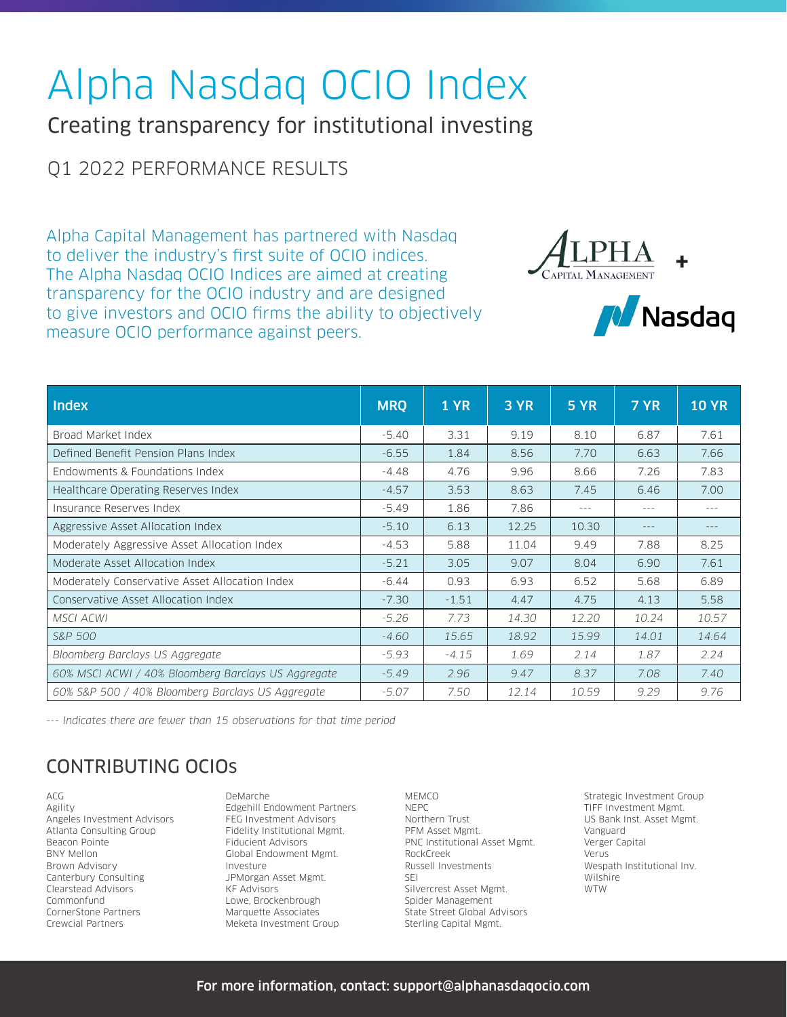# Alpha Nasdaq OCIO Index

Creating transparency for institutional investing

## Q1 2022 PERFORMANCE RESULTS

Alpha Capital Management has partnered with Nasdaq to deliver the industry's first suite of OCIO indices. The Alpha Nasdaq OCIO Indices are aimed at creating transparency for the OCIO industry and are designed to give investors and OCIO firms the ability to objectively measure OCIO performance against peers.





| <b>Index</b>                                        | <b>MRQ</b> | <b>1 YR</b> | 3 YR  | <b>5 YR</b> | 7 YR    | <b>10 YR</b> |
|-----------------------------------------------------|------------|-------------|-------|-------------|---------|--------------|
| Broad Market Index                                  | $-5.40$    | 3.31        | 9.19  | 8.10        | 6.87    | 7.61         |
| Defined Benefit Pension Plans Index                 | $-6.55$    | 1.84        | 8.56  | 7.70        | 6.63    | 7.66         |
| Endowments & Foundations Index                      | $-4.48$    | 4.76        | 9.96  | 8.66        | 7.26    | 7.83         |
| Healthcare Operating Reserves Index                 | $-4.57$    | 3.53        | 8.63  | 7.45        | 6.46    | 7.00         |
| Insurance Reserves Index                            | $-5.49$    | 1.86        | 7.86  | $- - -$     | $- - -$ | $---$        |
| Aggressive Asset Allocation Index                   | $-5.10$    | 6.13        | 12.25 | 10.30       | $- - -$ | $---$        |
| Moderately Aggressive Asset Allocation Index        | $-4.53$    | 5.88        | 11.04 | 9.49        | 7.88    | 8.25         |
| Moderate Asset Allocation Index                     | $-5.21$    | 3.05        | 9.07  | 8.04        | 6.90    | 7.61         |
| Moderately Conservative Asset Allocation Index      | $-6.44$    | 0.93        | 6.93  | 6.52        | 5.68    | 6.89         |
| Conservative Asset Allocation Index                 | $-7.30$    | $-1.51$     | 4.47  | 4.75        | 4.13    | 5.58         |
| <b>MSCI ACWI</b>                                    | $-5.26$    | 7.73        | 14.30 | 12.20       | 10.24   | 10.57        |
| <b>S&amp;P 500</b>                                  | $-4.60$    | 15.65       | 18.92 | 15.99       | 14.01   | 14.64        |
| Bloomberg Barclays US Aggregate                     | $-5.93$    | $-4.15$     | 1.69  | 2.14        | 1.87    | 2.24         |
| 60% MSCI ACWI / 40% Bloomberg Barclays US Aggregate | $-5.49$    | 2.96        | 9.47  | 8.37        | 7.08    | 7.40         |
| 60% S&P 500 / 40% Bloomberg Barclays US Aggregate   | $-5.07$    | 7.50        | 12.14 | 10.59       | 9.29    | 9.76         |

*--- Indicates there are fewer than 15 observations for that time period*

## CONTRIBUTING OCIOs

ACG Agility Angeles Investment Advisors Atlanta Consulting Group Beacon Pointe BNY Mellon Brown Advisory Canterbury Consulting Clearstead Advisors Commonfund CornerStone Partners Crewcial Partners

DeMarche Edgehill Endowment Partners FEG Investment Advisors Fidelity Institutional Mgmt. Fiducient Advisors Global Endowment Mgmt. Investure JPMorgan Asset Mgmt. KF Advisors Lowe, Brockenbrough Marquette Associates Meketa Investment Group

MEMCO NEPC Northern Trust PFM Asset Mgmt. PNC Institutional Asset Mgmt. RockCreek Russell Investments SEI Silvercrest Asset Mgmt. Spider Management State Street Global Advisors Sterling Capital Mgmt.

Strategic Investment Group TIFF Investment Mgmt. US Bank Inst. Asset Mgmt. Vanguard Verger Capital Verus Wespath Institutional Inv. Wilshire WTW